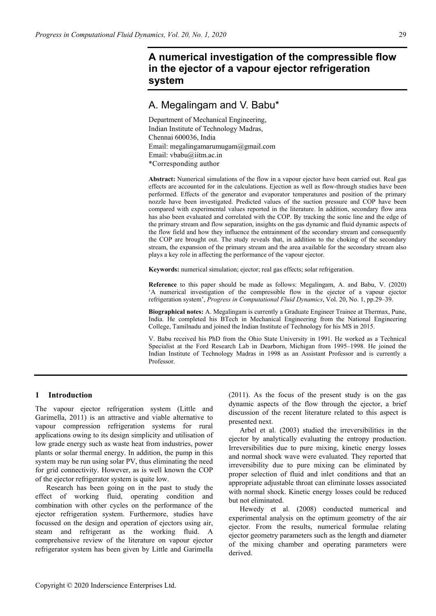# **A numerical investigation of the compressible flow in the ejector of a vapour ejector refrigeration system**

# A. Megalingam and V. Babu\*

Department of Mechanical Engineering, Indian Institute of Technology Madras, Chennai 600036, India Email: megalingamarumugam@gmail.com Email: vbabu@iitm.ac.in \*Corresponding author

**Abstract:** Numerical simulations of the flow in a vapour ejector have been carried out. Real gas effects are accounted for in the calculations. Ejection as well as flow-through studies have been performed. Effects of the generator and evaporator temperatures and position of the primary nozzle have been investigated. Predicted values of the suction pressure and COP have been compared with experimental values reported in the literature. In addition, secondary flow area has also been evaluated and correlated with the COP. By tracking the sonic line and the edge of the primary stream and flow separation, insights on the gas dynamic and fluid dynamic aspects of the flow field and how they influence the entrainment of the secondary stream and consequently the COP are brought out. The study reveals that, in addition to the choking of the secondary stream, the expansion of the primary stream and the area available for the secondary stream also plays a key role in affecting the performance of the vapour ejector.

**Keywords:** numerical simulation; ejector; real gas effects; solar refrigeration.

**Reference** to this paper should be made as follows: Megalingam, A. and Babu, V. (2020) 'A numerical investigation of the compressible flow in the ejector of a vapour ejector refrigeration system', *Progress in Computational Fluid Dynamics*, Vol. 20, No. 1, pp.29–39.

**Biographical notes:** A. Megalingam is currently a Graduate Engineer Trainee at Thermax, Pune, India. He completed his BTech in Mechanical Engineering from the National Engineering College, Tamilnadu and joined the Indian Institute of Technology for his MS in 2015.

V. Babu received his PhD from the Ohio State University in 1991. He worked as a Technical Specialist at the Ford Research Lab in Dearborn, Michigan from 1995–1998. He joined the Indian Institute of Technology Madras in 1998 as an Assistant Professor and is currently a Professor.

# **1 Introduction**

The vapour ejector refrigeration system (Little and Garimella, 2011) is an attractive and viable alternative to vapour compression refrigeration systems for rural applications owing to its design simplicity and utilisation of low grade energy such as waste heat from industries, power plants or solar thermal energy. In addition, the pump in this system may be run using solar PV, thus eliminating the need for grid connectivity. However, as is well known the COP of the ejector refrigerator system is quite low.

Research has been going on in the past to study the effect of working fluid, operating condition and combination with other cycles on the performance of the ejector refrigeration system. Furthermore, studies have focussed on the design and operation of ejectors using air, steam and refrigerant as the working fluid. A comprehensive review of the literature on vapour ejector refrigerator system has been given by Little and Garimella (2011). As the focus of the present study is on the gas dynamic aspects of the flow through the ejector, a brief discussion of the recent literature related to this aspect is presented next.

Arbel et al. (2003) studied the irreversibilities in the ejector by analytically evaluating the entropy production. Irreversibilities due to pure mixing, kinetic energy losses and normal shock wave were evaluated. They reported that irreversibility due to pure mixing can be eliminated by proper selection of fluid and inlet conditions and that an appropriate adjustable throat can eliminate losses associated with normal shock. Kinetic energy losses could be reduced but not eliminated.

Hewedy et al. (2008) conducted numerical and experimental analysis on the optimum geometry of the air ejector. From the results, numerical formulae relating ejector geometry parameters such as the length and diameter of the mixing chamber and operating parameters were derived.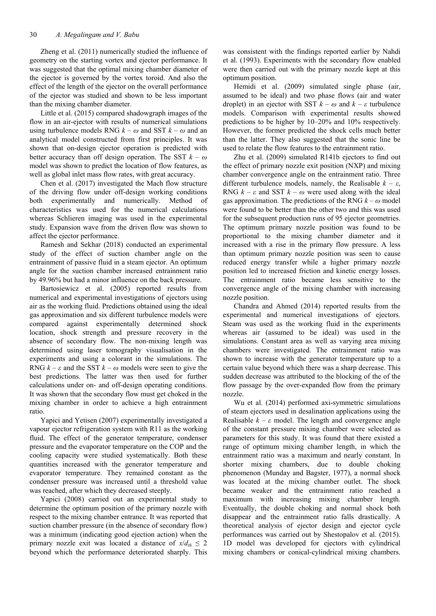Zheng et al. (2011) numerically studied the influence of geometry on the starting vortex and ejector performance. It was suggested that the optimal mixing chamber diameter of the ejector is governed by the vortex toroid. And also the effect of the length of the ejector on the overall performance of the ejector was studied and shown to be less important than the mixing chamber diameter.

Little et al. (2015) compared shadowgraph images of the flow in an air-ejector with results of numerical simulations using turbulence models RNG  $k - \omega$  and SST  $k - \omega$  and an analytical model constructed from first principles. It was shown that on-design ejector operation is predicted with better accuracy than off design operation. The SST *k* – *ω* model was shown to predict the location of flow features, as well as global inlet mass flow rates, with great accuracy.

Chen et al. (2017) investigated the Mach flow structure of the driving flow under off-design working conditions both experimentally and numerically. Method of characteristics was used for the numerical calculations whereas Schlieren imaging was used in the experimental study. Expansion wave from the driven flow was shown to affect the ejector performance.

Ramesh and Sekhar (2018) conducted an experimental study of the effect of suction chamber angle on the entrainment of passive fluid in a steam ejector. An optimum angle for the suction chamber increased entrainment ratio by 49.96% but had a minor influence on the back pressure.

Bartosiewicz et al. (2005) reported results from numerical and experimental investigations of ejectors using air as the working fluid. Predictions obtained using the ideal gas approximation and six different turbulence models were compared against experimentally determined shock location, shock strength and pressure recovery in the absence of secondary flow. The non-mixing length was determined using laser tomography visualisation in the experiments and using a colorant in the simulations. The RNG  $k - \varepsilon$  and the SST  $k - \omega$  models were seen to give the best predictions. The latter was then used for further calculations under on- and off-design operating conditions. It was shown that the secondary flow must get choked in the mixing chamber in order to achieve a high entrainment ratio.

Yapici and Yetisen (2007) experimentally investigated a vapour ejector refrigeration system with R11 as the working fluid. The effect of the generator temperature, condenser pressure and the evaporator temperature on the COP and the cooling capacity were studied systematically. Both these quantities increased with the generator temperature and evaporator temperature. They remained constant as the condenser pressure was increased until a threshold value was reached, after which they decreased steeply.

Yapici (2008) carried out an experimental study to determine the optimum position of the primary nozzle with respect to the mixing chamber entrance. It was reported that suction chamber pressure (in the absence of secondary flow) was a minimum (indicating good ejection action) when the primary nozzle exit was located a distance of  $x/d_{th} \leq 2$ beyond which the performance deteriorated sharply. This was consistent with the findings reported earlier by Nahdi et al. (1993). Experiments with the secondary flow enabled were then carried out with the primary nozzle kept at this optimum position.

Hemidi et al. (2009) simulated single phase (air, assumed to be ideal) and two phase flows (air and water droplet) in an ejector with SST  $k - \omega$  and  $k - \varepsilon$  turbulence models. Comparison with experimental results showed predictions to be higher by 10–20% and 10% respectively. However, the former predicted the shock cells much better than the latter. They also suggested that the sonic line be used to relate the flow features to the entrainment ratio.

Zhu et al. (2009) simulated R141b ejectors to find out the effect of primary nozzle exit position (NXP) and mixing chamber convergence angle on the entrainment ratio. Three different turbulence models, namely, the Realisable  $k - \varepsilon$ , RNG  $k - \varepsilon$  and SST  $k - \omega$  were used along with the ideal gas approximation. The predictions of the RNG *k* – *ω* model were found to be better than the other two and this was used for the subsequent production runs of 95 ejector geometries. The optimum primary nozzle position was found to be proportional to the mixing chamber diameter and it increased with a rise in the primary flow pressure. A less than optimum primary nozzle position was seen to cause reduced energy transfer while a higher primary nozzle position led to increased friction and kinetic energy losses. The entrainment ratio became less sensitive to the convergence angle of the mixing chamber with increasing nozzle position.

Chandra and Ahmed (2014) reported results from the experimental and numerical investigations of ejectors. Steam was used as the working fluid in the experiments whereas air (assumed to be ideal) was used in the simulations. Constant area as well as varying area mixing chambers were investigated. The entrainment ratio was shown to increase with the generator temperature up to a certain value beyond which there was a sharp decrease. This sudden decrease was attributed to the blocking of the of the flow passage by the over-expanded flow from the primary nozzle.

Wu et al. (2014) performed axi-symmetric simulations of steam ejectors used in desalination applications using the Realisable  $k - \varepsilon$  model. The length and convergence angle of the constant pressure mixing chamber were selected as parameters for this study. It was found that there existed a range of optimum mixing chamber length, in which the entrainment ratio was a maximum and nearly constant. In shorter mixing chambers, due to double choking phenomenon (Munday and Bagster, 1977), a normal shock was located at the mixing chamber outlet. The shock became weaker and the entrainment ratio reached a maximum with increasing mixing chamber length. Eventually, the double choking and normal shock both disappear and the entrainment ratio falls drastically. A theoretical analysis of ejector design and ejector cycle performances was carried out by Shestopalov et al. (2015). 1D model was developed for ejectors with cylindrical mixing chambers or conical-cylindrical mixing chambers.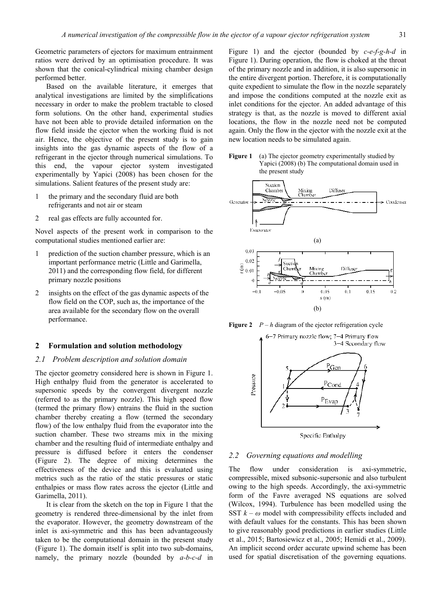Geometric parameters of ejectors for maximum entrainment ratios were derived by an optimisation procedure. It was shown that the conical-cylindrical mixing chamber design performed better.

Based on the available literature, it emerges that analytical investigations are limited by the simplifications necessary in order to make the problem tractable to closed form solutions. On the other hand, experimental studies have not been able to provide detailed information on the flow field inside the ejector when the working fluid is not air. Hence, the objective of the present study is to gain insights into the gas dynamic aspects of the flow of a refrigerant in the ejector through numerical simulations. To this end, the vapour ejector system investigated experimentally by Yapici (2008) has been chosen for the simulations. Salient features of the present study are:

- 1 the primary and the secondary fluid are both refrigerants and not air or steam
- 2 real gas effects are fully accounted for.

Novel aspects of the present work in comparison to the computational studies mentioned earlier are:

- 1 prediction of the suction chamber pressure, which is an important performance metric (Little and Garimella, 2011) and the corresponding flow field, for different primary nozzle positions
- 2 insights on the effect of the gas dynamic aspects of the flow field on the COP, such as, the importance of the area available for the secondary flow on the overall performance.

#### **2 Formulation and solution methodology**

#### *2.1 Problem description and solution domain*

The ejector geometry considered here is shown in Figure 1. High enthalpy fluid from the generator is accelerated to supersonic speeds by the convergent divergent nozzle (referred to as the primary nozzle). This high speed flow (termed the primary flow) entrains the fluid in the suction chamber thereby creating a flow (termed the secondary flow) of the low enthalpy fluid from the evaporator into the suction chamber. These two streams mix in the mixing chamber and the resulting fluid of intermediate enthalpy and pressure is diffused before it enters the condenser (Figure 2). The degree of mixing determines the effectiveness of the device and this is evaluated using metrics such as the ratio of the static pressures or static enthalpies or mass flow rates across the ejector (Little and Garimella, 2011).

It is clear from the sketch on the top in Figure 1 that the geometry is rendered three-dimensional by the inlet from the evaporator. However, the geometry downstream of the inlet is axi-symmetric and this has been advantageously taken to be the computational domain in the present study (Figure 1). The domain itself is split into two sub-domains, namely, the primary nozzle (bounded by *a-b-c-d* in

Figure 1) and the ejector (bounded by *c-e-f-g-h-d* in Figure 1). During operation, the flow is choked at the throat of the primary nozzle and in addition, it is also supersonic in the entire divergent portion. Therefore, it is computationally quite expedient to simulate the flow in the nozzle separately and impose the conditions computed at the nozzle exit as inlet conditions for the ejector. An added advantage of this strategy is that, as the nozzle is moved to different axial locations, the flow in the nozzle need not be computed again. Only the flow in the ejector with the nozzle exit at the new location needs to be simulated again.





**Figure 2**  $P - h$  diagram of the ejector refrigeration cycle



# *2.2 Governing equations and modelling*

The flow under consideration is axi-symmetric, compressible, mixed subsonic-supersonic and also turbulent owing to the high speeds. Accordingly, the axi-symmetric form of the Favre averaged NS equations are solved (Wilcox, 1994). Turbulence has been modelled using the SST  $k - \omega$  model with compressibility effects included and with default values for the constants. This has been shown to give reasonably good predictions in earlier studies (Little et al., 2015; Bartosiewicz et al., 2005; Hemidi et al., 2009). An implicit second order accurate upwind scheme has been used for spatial discretisation of the governing equations.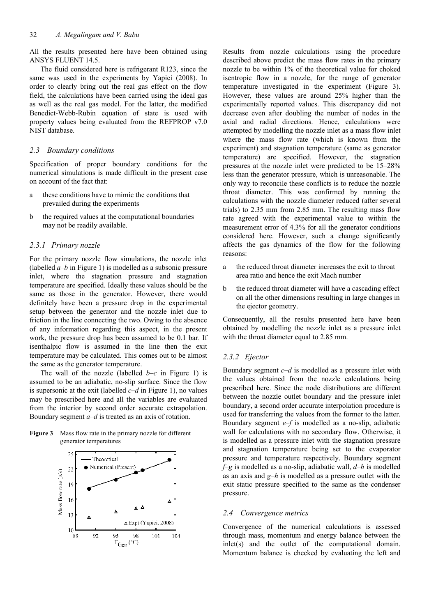All the results presented here have been obtained using ANSYS FLUENT 14.5.

The fluid considered here is refrigerant R123, since the same was used in the experiments by Yapici (2008). In order to clearly bring out the real gas effect on the flow field, the calculations have been carried using the ideal gas as well as the real gas model. For the latter, the modified Benedict-Webb-Rubin equation of state is used with property values being evaluated from the REFPROP v7.0 NIST database.

## *2.3 Boundary conditions*

Specification of proper boundary conditions for the numerical simulations is made difficult in the present case on account of the fact that:

- these conditions have to mimic the conditions that prevailed during the experiments
- b the required values at the computational boundaries may not be readily available.

#### *2.3.1 Primary nozzle*

For the primary nozzle flow simulations, the nozzle inlet (labelled  $a-b$  in Figure 1) is modelled as a subsonic pressure inlet, where the stagnation pressure and stagnation temperature are specified. Ideally these values should be the same as those in the generator. However, there would definitely have been a pressure drop in the experimental setup between the generator and the nozzle inlet due to friction in the line connecting the two. Owing to the absence of any information regarding this aspect, in the present work, the pressure drop has been assumed to be 0.1 bar. If isenthalpic flow is assumed in the line then the exit temperature may be calculated. This comes out to be almost the same as the generator temperature.

The wall of the nozzle (labelled  $b-c$  in Figure 1) is assumed to be an adiabatic, no-slip surface. Since the flow is supersonic at the exit (labelled *c*–*d* in Figure 1), no values may be prescribed here and all the variables are evaluated from the interior by second order accurate extrapolation. Boundary segment *a*–*d* is treated as an axis of rotation.





Results from nozzle calculations using the procedure described above predict the mass flow rates in the primary nozzle to be within 1% of the theoretical value for choked isentropic flow in a nozzle, for the range of generator temperature investigated in the experiment (Figure 3). However, these values are around 25% higher than the experimentally reported values. This discrepancy did not decrease even after doubling the number of nodes in the axial and radial directions. Hence, calculations were attempted by modelling the nozzle inlet as a mass flow inlet where the mass flow rate (which is known from the experiment) and stagnation temperature (same as generator temperature) are specified. However, the stagnation pressures at the nozzle inlet were predicted to be 15–28% less than the generator pressure, which is unreasonable. The only way to reconcile these conflicts is to reduce the nozzle throat diameter. This was confirmed by running the calculations with the nozzle diameter reduced (after several trials) to 2.35 mm from 2.85 mm. The resulting mass flow rate agreed with the experimental value to within the measurement error of 4.3% for all the generator conditions considered here. However, such a change significantly affects the gas dynamics of the flow for the following reasons:

- a the reduced throat diameter increases the exit to throat area ratio and hence the exit Mach number
- b the reduced throat diameter will have a cascading effect on all the other dimensions resulting in large changes in the ejector geometry.

Consequently, all the results presented here have been obtained by modelling the nozzle inlet as a pressure inlet with the throat diameter equal to 2.85 mm.

### *2.3.2 Ejector*

Boundary segment *c*–*d* is modelled as a pressure inlet with the values obtained from the nozzle calculations being prescribed here. Since the node distributions are different between the nozzle outlet boundary and the pressure inlet boundary, a second order accurate interpolation procedure is used for transferring the values from the former to the latter. Boundary segment *e*–*f* is modelled as a no-slip, adiabatic wall for calculations with no secondary flow. Otherwise, it is modelled as a pressure inlet with the stagnation pressure and stagnation temperature being set to the evaporator pressure and temperature respectively. Boundary segment *f*–*g* is modelled as a no-slip, adiabatic wall, *d*–*h* is modelled as an axis and *g*–*h* is modelled as a pressure outlet with the exit static pressure specified to the same as the condenser pressure.

#### *2.4 Convergence metrics*

Convergence of the numerical calculations is assessed through mass, momentum and energy balance between the inlet(s) and the outlet of the computational domain. Momentum balance is checked by evaluating the left and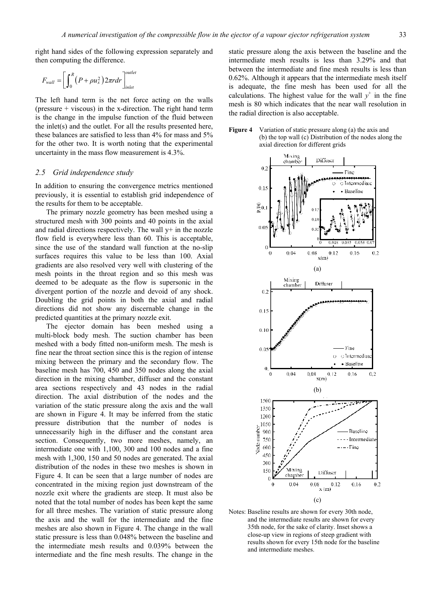right hand sides of the following expression separately and then computing the difference.

$$
F_{wall} = \left[\int_0^R \left(P + \rho u_x^2\right) 2\pi r dr\right]_{inlet}^{outlet}
$$

The left hand term is the net force acting on the walls (pressure  $+$  viscous) in the x-direction. The right hand term is the change in the impulse function of the fluid between the inlet(s) and the outlet. For all the results presented here, these balances are satisfied to less than 4% for mass and 5% for the other two. It is worth noting that the experimental uncertainty in the mass flow measurement is 4.3%.

### *2.5 Grid independence study*

In addition to ensuring the convergence metrics mentioned previously, it is essential to establish grid independence of the results for them to be acceptable.

The primary nozzle geometry has been meshed using a structured mesh with 300 points and 40 points in the axial and radial directions respectively. The wall  $v<sup>+</sup>$  in the nozzle flow field is everywhere less than 60. This is acceptable, since the use of the standard wall function at the no-slip surfaces requires this value to be less than 100. Axial gradients are also resolved very well with clustering of the mesh points in the throat region and so this mesh was deemed to be adequate as the flow is supersonic in the divergent portion of the nozzle and devoid of any shock. Doubling the grid points in both the axial and radial directions did not show any discernable change in the predicted quantities at the primary nozzle exit.

The ejector domain has been meshed using a multi-block body mesh. The suction chamber has been meshed with a body fitted non-uniform mesh. The mesh is fine near the throat section since this is the region of intense mixing between the primary and the secondary flow. The baseline mesh has 700, 450 and 350 nodes along the axial direction in the mixing chamber, diffuser and the constant area sections respectively and 43 nodes in the radial direction. The axial distribution of the nodes and the variation of the static pressure along the axis and the wall are shown in Figure 4. It may be inferred from the static pressure distribution that the number of nodes is unnecessarily high in the diffuser and the constant area section. Consequently, two more meshes, namely, an intermediate one with 1,100, 300 and 100 nodes and a fine mesh with 1,300, 150 and 50 nodes are generated. The axial distribution of the nodes in these two meshes is shown in Figure 4. It can be seen that a large number of nodes are concentrated in the mixing region just downstream of the nozzle exit where the gradients are steep. It must also be noted that the total number of nodes has been kept the same for all three meshes. The variation of static pressure along the axis and the wall for the intermediate and the fine meshes are also shown in Figure 4. The change in the wall static pressure is less than 0.048% between the baseline and the intermediate mesh results and 0.039% between the intermediate and the fine mesh results. The change in the

static pressure along the axis between the baseline and the intermediate mesh results is less than 3.29% and that between the intermediate and fine mesh results is less than 0.62%. Although it appears that the intermediate mesh itself is adequate, the fine mesh has been used for all the calculations. The highest value for the wall  $y^+$  in the fine mesh is 80 which indicates that the near wall resolution in the radial direction is also acceptable.





Notes: Baseline results are shown for every 30th node, and the intermediate results are shown for every 35th node, for the sake of clarity. Inset shows a close-up view in regions of steep gradient with results shown for every 15th node for the baseline and intermediate meshes.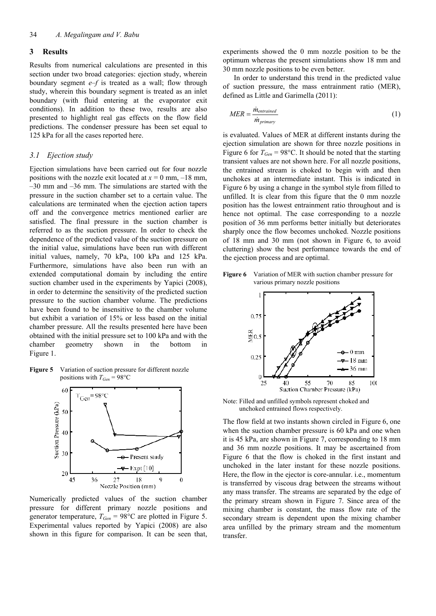## **3 Results**

Results from numerical calculations are presented in this section under two broad categories: ejection study, wherein boundary segment *e*–*f* is treated as a wall; flow through study, wherein this boundary segment is treated as an inlet boundary (with fluid entering at the evaporator exit conditions). In addition to these two, results are also presented to highlight real gas effects on the flow field predictions. The condenser pressure has been set equal to 125 kPa for all the cases reported here.

#### *3.1 Ejection study*

Ejection simulations have been carried out for four nozzle positions with the nozzle exit located at  $x = 0$  mm,  $-18$  mm,  $-30$  mm and  $-36$  mm. The simulations are started with the pressure in the suction chamber set to a certain value. The calculations are terminated when the ejection action tapers off and the convergence metrics mentioned earlier are satisfied. The final pressure in the suction chamber is referred to as the suction pressure. In order to check the dependence of the predicted value of the suction pressure on the initial value, simulations have been run with different initial values, namely, 70 kPa, 100 kPa and 125 kPa. Furthermore, simulations have also been run with an extended computational domain by including the entire suction chamber used in the experiments by Yapici (2008), in order to determine the sensitivity of the predicted suction pressure to the suction chamber volume. The predictions have been found to be insensitive to the chamber volume but exhibit a variation of 15% or less based on the initial chamber pressure. All the results presented here have been obtained with the initial pressure set to 100 kPa and with the chamber geometry shown in the bottom in Figure 1.

**Figure 5** Variation of suction pressure for different nozzle positions with  $T_{Gen} = 98^{\circ}$ C



Numerically predicted values of the suction chamber pressure for different primary nozzle positions and generator temperature,  $T_{Gen} = 98^{\circ}$ C are plotted in Figure 5. Experimental values reported by Yapici (2008) are also shown in this figure for comparison. It can be seen that,

experiments showed the 0 mm nozzle position to be the optimum whereas the present simulations show 18 mm and 30 mm nozzle positions to be even better.

In order to understand this trend in the predicted value of suction pressure, the mass entrainment ratio (MER), defined as Little and Garimella (2011):

$$
MER = \frac{\dot{m}_{entrained}}{\dot{m}_{primary}} \tag{1}
$$

is evaluated. Values of MER at different instants during the ejection simulation are shown for three nozzle positions in Figure 6 for  $T_{Gen} = 98$ °C. It should be noted that the starting transient values are not shown here. For all nozzle positions, the entrained stream is choked to begin with and then unchokes at an intermediate instant. This is indicated in Figure 6 by using a change in the symbol style from filled to unfilled. It is clear from this figure that the 0 mm nozzle position has the lowest entrainment ratio throughout and is hence not optimal. The case corresponding to a nozzle position of 36 mm performs better initially but deteriorates sharply once the flow becomes unchoked. Nozzle positions of 18 mm and 30 mm (not shown in Figure 6, to avoid cluttering) show the best performance towards the end of the ejection process and are optimal.





Note: Filled and unfilled symbols represent choked and unchoked entrained flows respectively.

The flow field at two instants shown circled in Figure 6, one when the suction chamber pressure is 60 kPa and one when it is 45 kPa, are shown in Figure 7, corresponding to 18 mm and 36 mm nozzle positions. It may be ascertained from Figure 6 that the flow is choked in the first instant and unchoked in the later instant for these nozzle positions. Here, the flow in the ejector is core-annular. i.e., momentum is transferred by viscous drag between the streams without any mass transfer. The streams are separated by the edge of the primary stream shown in Figure 7. Since area of the mixing chamber is constant, the mass flow rate of the secondary stream is dependent upon the mixing chamber area unfilled by the primary stream and the momentum transfer.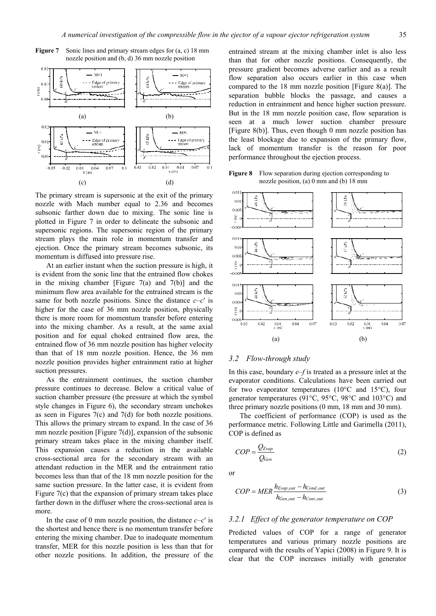

**Figure 7** Sonic lines and primary stream edges for  $(a, c)$  18 mm nozzle position and (b, d) 36 mm nozzle position

The primary stream is supersonic at the exit of the primary nozzle with Mach number equal to 2.36 and becomes subsonic farther down due to mixing. The sonic line is plotted in Figure 7 in order to delineate the subsonic and supersonic regions. The supersonic region of the primary stream plays the main role in momentum transfer and ejection. Once the primary stream becomes subsonic, its momentum is diffused into pressure rise.

At an earlier instant when the suction pressure is high, it is evident from the sonic line that the entrained flow chokes in the mixing chamber [Figure  $7(a)$  and  $7(b)$ ] and the minimum flow area available for the entrained stream is the same for both nozzle positions. Since the distance  $c - c'$  is higher for the case of 36 mm nozzle position, physically there is more room for momentum transfer before entering into the mixing chamber. As a result, at the same axial position and for equal choked entrained flow area, the entrained flow of 36 mm nozzle position has higher velocity than that of 18 mm nozzle position. Hence, the 36 mm nozzle position provides higher entrainment ratio at higher suction pressures.

As the entrainment continues, the suction chamber pressure continues to decrease. Below a critical value of suction chamber pressure (the pressure at which the symbol style changes in Figure 6), the secondary stream unchokes as seen in Figures 7(c) and 7(d) for both nozzle positions. This allows the primary stream to expand. In the case of 36 mm nozzle position [Figure  $7(d)$ ], expansion of the subsonic primary stream takes place in the mixing chamber itself. This expansion causes a reduction in the available cross-sectional area for the secondary stream with an attendant reduction in the MER and the entrainment ratio becomes less than that of the 18 mm nozzle position for the same suction pressure. In the latter case, it is evident from Figure 7(c) that the expansion of primary stream takes place farther down in the diffuser where the cross-sectional area is more.

In the case of 0 mm nozzle position, the distance  $c-c'$  is the shortest and hence there is no momentum transfer before entering the mixing chamber. Due to inadequate momentum transfer, MER for this nozzle position is less than that for other nozzle positions. In addition, the pressure of the

entrained stream at the mixing chamber inlet is also less than that for other nozzle positions. Consequently, the pressure gradient becomes adverse earlier and as a result flow separation also occurs earlier in this case when compared to the 18 mm nozzle position [Figure 8(a)]. The separation bubble blocks the passage, and causes a reduction in entrainment and hence higher suction pressure. But in the 18 mm nozzle position case, flow separation is seen at a much lower suction chamber pressure [Figure 8(b)]. Thus, even though 0 mm nozzle position has the least blockage due to expansion of the primary flow, lack of momentum transfer is the reason for poor performance throughout the ejection process.

**Figure 8** Flow separation during ejection corresponding to nozzle position, (a) 0 mm and (b) 18 mm



#### *3.2 Flow-through study*

In this case, boundary *e*–*f* is treated as a pressure inlet at the evaporator conditions. Calculations have been carried out for two evaporator temperatures (10°C and 15°C), four generator temperatures (91°C, 95°C, 98°C and 103°C) and three primary nozzle positions (0 mm, 18 mm and 30 mm).

The coefficient of performance (COP) is used as the performance metric. Following Little and Garimella (2011), COP is defined as

$$
COP = \frac{Q_{Evap}}{Q_{Gen}}
$$
 (2)

or

$$
COP = MER \frac{h_{Evap,out} - h_{Cond,out}}{h_{Gen,out} - h_{Cont,out}}
$$
\n(3)

#### *3.2.1 Effect of the generator temperature on COP*

Predicted values of COP for a range of generator temperatures and various primary nozzle positions are compared with the results of Yapici (2008) in Figure 9. It is clear that the COP increases initially with generator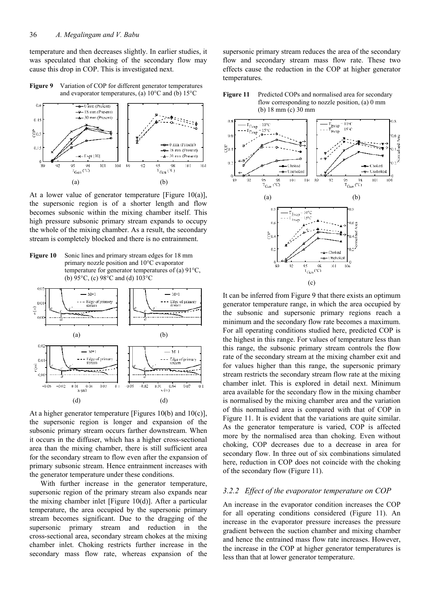temperature and then decreases slightly. In earlier studies, it was speculated that choking of the secondary flow may cause this drop in COP. This is investigated next.

**Figure 9** Variation of COP for different generator temperatures and evaporator temperatures, (a) 10°C and (b) 15°C



At a lower value of generator temperature [Figure 10(a)], the supersonic region is of a shorter length and flow becomes subsonic within the mixing chamber itself. This high pressure subsonic primary stream expands to occupy the whole of the mixing chamber. As a result, the secondary stream is completely blocked and there is no entrainment.

**Figure 10** Sonic lines and primary stream edges for 18 mm primary nozzle position and 10°C evaporator temperature for generator temperatures of (a) 91°C, (b) 95°C, (c) 98°C and (d) 103°C



At a higher generator temperature [Figures 10(b) and 10(c)], the supersonic region is longer and expansion of the subsonic primary stream occurs farther downstream. When it occurs in the diffuser, which has a higher cross-sectional area than the mixing chamber, there is still sufficient area for the secondary stream to flow even after the expansion of primary subsonic stream. Hence entrainment increases with the generator temperature under these conditions.

With further increase in the generator temperature, supersonic region of the primary stream also expands near the mixing chamber inlet [Figure 10(d)]. After a particular temperature, the area occupied by the supersonic primary stream becomes significant. Due to the dragging of the supersonic primary stream and reduction in the cross-sectional area, secondary stream chokes at the mixing chamber inlet. Choking restricts further increase in the secondary mass flow rate, whereas expansion of the supersonic primary stream reduces the area of the secondary flow and secondary stream mass flow rate. These two effects cause the reduction in the COP at higher generator temperatures.





It can be inferred from Figure 9 that there exists an optimum generator temperature range, in which the area occupied by the subsonic and supersonic primary regions reach a minimum and the secondary flow rate becomes a maximum. For all operating conditions studied here, predicted COP is the highest in this range. For values of temperature less than this range, the subsonic primary stream controls the flow rate of the secondary stream at the mixing chamber exit and for values higher than this range, the supersonic primary stream restricts the secondary stream flow rate at the mixing chamber inlet. This is explored in detail next. Minimum area available for the secondary flow in the mixing chamber is normalised by the mixing chamber area and the variation of this normalised area is compared with that of COP in Figure 11. It is evident that the variations are quite similar. As the generator temperature is varied, COP is affected more by the normalised area than choking. Even without choking, COP decreases due to a decrease in area for secondary flow. In three out of six combinations simulated here, reduction in COP does not coincide with the choking of the secondary flow (Figure 11).

## *3.2.2 Effect of the evaporator temperature on COP*

An increase in the evaporator condition increases the COP for all operating conditions considered (Figure 11). An increase in the evaporator pressure increases the pressure gradient between the suction chamber and mixing chamber and hence the entrained mass flow rate increases. However, the increase in the COP at higher generator temperatures is less than that at lower generator temperature.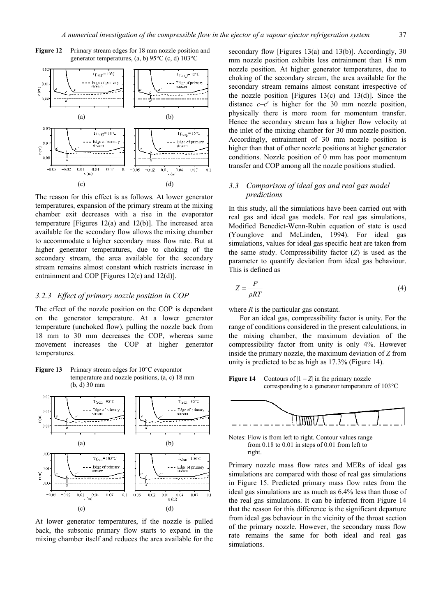

Figure 12 Primary stream edges for 18 mm nozzle position and generator temperatures, (a, b) 95°C (c, d) 103°C

The reason for this effect is as follows. At lower generator temperatures, expansion of the primary stream at the mixing chamber exit decreases with a rise in the evaporator temperature [Figures 12(a) and 12(b)]. The increased area available for the secondary flow allows the mixing chamber to accommodate a higher secondary mass flow rate. But at higher generator temperatures, due to choking of the secondary stream, the area available for the secondary stream remains almost constant which restricts increase in entrainment and COP [Figures 12(c) and 12(d)].

### *3.2.3 Effect of primary nozzle position in COP*

The effect of the nozzle position on the COP is dependant on the generator temperature. At a lower generator temperature (unchoked flow), pulling the nozzle back from 18 mm to 30 mm decreases the COP, whereas same movement increases the COP at higher generator temperatures.

**Figure 13** Primary stream edges for 10°C evaporator temperature and nozzle positions, (a, c) 18 mm (b, d) 30 mm



At lower generator temperatures, if the nozzle is pulled back, the subsonic primary flow starts to expand in the mixing chamber itself and reduces the area available for the

secondary flow [Figures 13(a) and 13(b)]. Accordingly, 30 mm nozzle position exhibits less entrainment than 18 mm nozzle position. At higher generator temperatures, due to choking of the secondary stream, the area available for the secondary stream remains almost constant irrespective of the nozzle position [Figures 13(c) and 13(d)]. Since the distance  $c-c'$  is higher for the 30 mm nozzle position, physically there is more room for momentum transfer. Hence the secondary stream has a higher flow velocity at the inlet of the mixing chamber for 30 mm nozzle position. Accordingly, entrainment of 30 mm nozzle position is higher than that of other nozzle positions at higher generator conditions. Nozzle position of 0 mm has poor momentum transfer and COP among all the nozzle positions studied.

# *3.3 Comparison of ideal gas and real gas model predictions*

In this study, all the simulations have been carried out with real gas and ideal gas models. For real gas simulations, Modified Benedict-Wenn-Rubin equation of state is used (Younglove and McLinden, 1994). For ideal gas simulations, values for ideal gas specific heat are taken from the same study. Compressibility factor (*Z*) is used as the parameter to quantify deviation from ideal gas behaviour. This is defined as

$$
Z = \frac{P}{\rho RT} \tag{4}
$$

where *R* is the particular gas constant.

For an ideal gas, compressibility factor is unity. For the range of conditions considered in the present calculations, in the mixing chamber, the maximum deviation of the compressibility factor from unity is only 4%. However inside the primary nozzle, the maximum deviation of *Z* from unity is predicted to be as high as 17.3% (Figure 14).

**Figure 14** Contours of  $|1 - Z|$  in the primary nozzle corresponding to a generator temperature of 103°C



Notes: Flow is from left to right. Contour values range from 0.18 to 0.01 in steps of 0.01 from left to right.

Primary nozzle mass flow rates and MERs of ideal gas simulations are compared with those of real gas simulations in Figure 15. Predicted primary mass flow rates from the ideal gas simulations are as much as 6.4% less than those of the real gas simulations. It can be inferred from Figure 14 that the reason for this difference is the significant departure from ideal gas behaviour in the vicinity of the throat section of the primary nozzle. However, the secondary mass flow rate remains the same for both ideal and real gas simulations.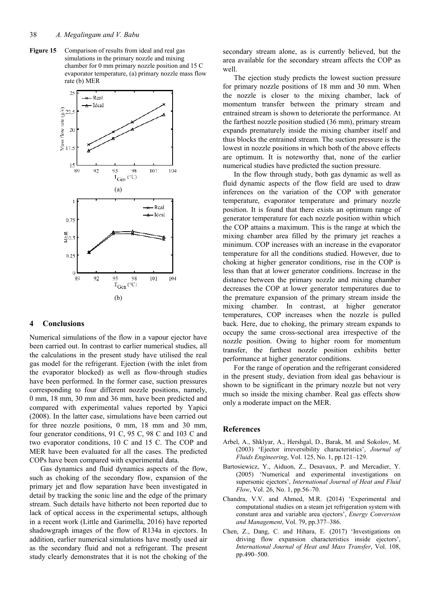Figure 15 Comparison of results from ideal and real gas simulations in the primary nozzle and mixing chamber for 0 mm primary nozzle position and 15 C evaporator temperature, (a) primary nozzle mass flow rate (b) MER



## **4 Conclusions**

Numerical simulations of the flow in a vapour ejector have been carried out. In contrast to earlier numerical studies, all the calculations in the present study have utilised the real gas model for the refrigerant. Ejection (with the inlet from the evaporator blocked) as well as flow-through studies have been performed. In the former case, suction pressures corresponding to four different nozzle positions, namely, 0 mm, 18 mm, 30 mm and 36 mm, have been predicted and compared with experimental values reported by Yapici (2008). In the latter case, simulations have been carried out for three nozzle positions, 0 mm, 18 mm and 30 mm, four generator conditions, 91 C, 95 C, 98 C and 103 C and two evaporator conditions, 10 C and 15 C. The COP and MER have been evaluated for all the cases. The predicted COPs have been compared with experimental data.

Gas dynamics and fluid dynamics aspects of the flow, such as choking of the secondary flow, expansion of the primary jet and flow separation have been investigated in detail by tracking the sonic line and the edge of the primary stream. Such details have hitherto not been reported due to lack of optical access in the experimental setups, although in a recent work (Little and Garimella, 2016) have reported shadowgraph images of the flow of R134a in ejectors. In addition, earlier numerical simulations have mostly used air as the secondary fluid and not a refrigerant. The present study clearly demonstrates that it is not the choking of the secondary stream alone, as is currently believed, but the area available for the secondary stream affects the COP as well.

The ejection study predicts the lowest suction pressure for primary nozzle positions of 18 mm and 30 mm. When the nozzle is closer to the mixing chamber, lack of momentum transfer between the primary stream and entrained stream is shown to deteriorate the performance. At the farthest nozzle position studied (36 mm), primary stream expands prematurely inside the mixing chamber itself and thus blocks the entrained stream. The suction pressure is the lowest in nozzle positions in which both of the above effects are optimum. It is noteworthy that, none of the earlier numerical studies have predicted the suction pressure.

In the flow through study, both gas dynamic as well as fluid dynamic aspects of the flow field are used to draw inferences on the variation of the COP with generator temperature, evaporator temperature and primary nozzle position. It is found that there exists an optimum range of generator temperature for each nozzle position within which the COP attains a maximum. This is the range at which the mixing chamber area filled by the primary jet reaches a minimum. COP increases with an increase in the evaporator temperature for all the conditions studied. However, due to choking at higher generator conditions, rise in the COP is less than that at lower generator conditions. Increase in the distance between the primary nozzle and mixing chamber decreases the COP at lower generator temperatures due to the premature expansion of the primary stream inside the mixing chamber. In contrast, at higher generator temperatures, COP increases when the nozzle is pulled back. Here, due to choking, the primary stream expands to occupy the same cross-sectional area irrespective of the nozzle position. Owing to higher room for momentum transfer, the farthest nozzle position exhibits better performance at higher generator conditions.

For the range of operation and the refrigerant considered in the present study, deviation from ideal gas behaviour is shown to be significant in the primary nozzle but not very much so inside the mixing chamber. Real gas effects show only a moderate impact on the MER.

## **References**

- Arbel, A., Shklyar, A., Hershgal, D., Barak, M. and Sokolov, M. (2003) 'Ejector irreversibility characteristics', *Journal of Fluids Engineering*, Vol. 125, No. 1, pp.121–129.
- Bartosiewicz, Y., Aiduon, Z., Desavaux, P. and Mercadier, Y. (2005) 'Numerical and experimental investigations on supersonic ejectors', *International Journal of Heat and Fluid Flow*, Vol. 26, No. 1, pp.56–70.
- Chandra, V.V. and Ahmed, M.R. (2014) 'Experimental and computational studies on a steam jet refrigeration system with constant area and variable area ejectors', *Energy Conversion and Management*, Vol. 79, pp.377–386.
- Chen, Z., Dang, C. and Hihara, E. (2017) 'Investigations on driving flow expansion characteristics inside ejectors', *International Journal of Heat and Mass Transfer*, Vol. 108, pp.490–500.